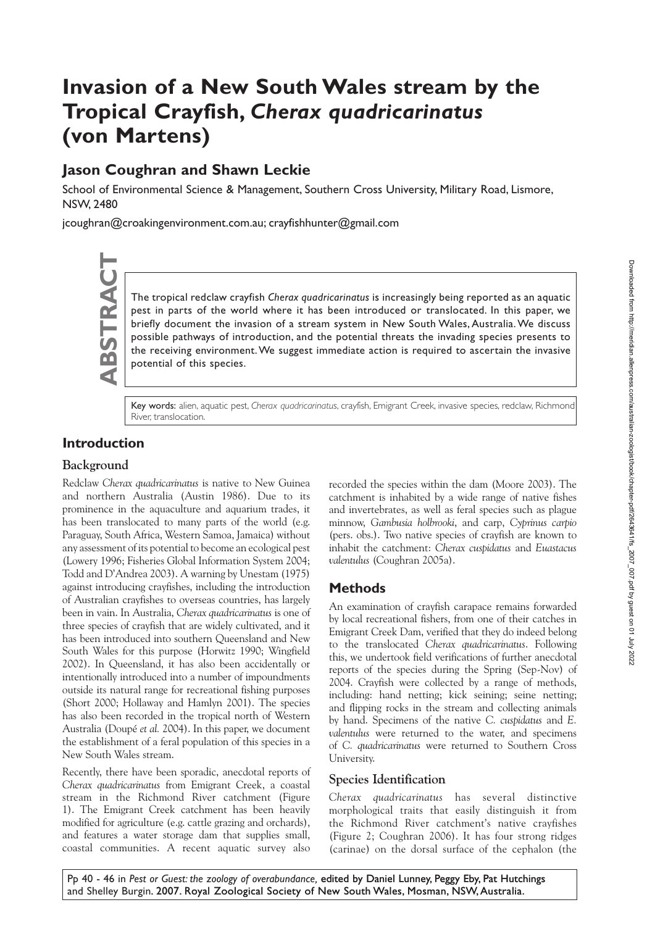# **Invasion of a New South Wales stream by the Tropical Crayfish,** *Cherax quadricarinatus* **(von Martens)**

# **Jason Coughran and Shawn Leckie**

School of Environmental Science & Management, Southern Cross University, Military Road, Lismore, NSW, 2480

jcoughran@croakingenvironment.com.au; crayfishhunter@gmail.com



The tropical redclaw crayfish *Cherax quadricarinatus* is increasingly being reported as an aquatic pest in parts of the world where it has been introduced or translocated. In this paper, we briefly document the invasion o pest in parts of the world where it has been introduced or translocated. In this paper, we briefly document the invasion of a stream system in New South Wales, Australia. We discuss possible pathways of introduction, and the potential threats the invading species presents to the receiving environment. We suggest immediate action is required to ascertain the invasive potential of this species.

Key words: alien, aquatic pest, *Cherax quadricarinatus*, crayfish, Emigrant Creek, invasive species, redclaw, Richmond River, translocation.

# **Introduction**

#### **Background**

Redclaw *Cherax quadricarinatus* is native to New Guinea and northern Australia (Austin 1986). Due to its prominence in the aquaculture and aquarium trades, it has been translocated to many parts of the world (e.g. Paraguay, South Africa, Western Samoa, Jamaica) without any assessment of its potential to become an ecological pest (Lowery 1996; Fisheries Global Information System 2004; Todd and D'Andrea 2003). A warning by Unestam (1975) against introducing crayfishes, including the introduction of Australian crayfishes to overseas countries, has largely been in vain. In Australia, *Cherax quadricarinatus* is one of three species of crayfish that are widely cultivated, and it has been introduced into southern Queensland and New South Wales for this purpose (Horwitz 1990; Wingfield 2002). In Queensland, it has also been accidentally or intentionally introduced into a number of impoundments outside its natural range for recreational fishing purposes (Short 2000; Hollaway and Hamlyn 2001). The species has also been recorded in the tropical north of Western Australia (Doupé *et al.* 2004). In this paper, we document the establishment of a feral population of this species in a New South Wales stream.

Recently, there have been sporadic, anecdotal reports of *Cherax quadricarinatus* from Emigrant Creek, a coastal stream in the Richmond River catchment (Figure 1). The Emigrant Creek catchment has been heavily modified for agriculture (e.g. cattle grazing and orchards), and features a water storage dam that supplies small, coastal communities. A recent aquatic survey also

recorded the species within the dam (Moore 2003). The catchment is inhabited by a wide range of native fishes and invertebrates, as well as feral species such as plague minnow, *Gambusia holbrooki*, and carp, *Cyprinus carpio* (pers. obs.). Two native species of crayfish are known to inhabit the catchment: *Cherax cuspidatus* and *Euastacus valentulus* (Coughran 2005a).

# **Methods**

An examination of crayfish carapace remains forwarded by local recreational fishers, from one of their catches in Emigrant Creek Dam, verified that they do indeed belong to the translocated *Cherax quadricarinatus*. Following this, we undertook field verifications of further anecdotal reports of the species during the Spring (Sep-Nov) of 2004. Crayfish were collected by a range of methods, including: hand netting; kick seining; seine netting; and flipping rocks in the stream and collecting animals by hand. Specimens of the native *C. cuspidatus* and *E. valentulus* were returned to the water, and specimens of *C. quadricarinatus* were returned to Southern Cross University.

#### **Species Identification**

*Cherax quadricarinatus* has several distinctive morphological traits that easily distinguish it from the Richmond River catchment's native crayfishes (Figure 2; Coughran 2006). It has four strong ridges (carinae) on the dorsal surface of the cephalon (the

Pp 40 - 46 in Pest or Guest: the zoology of overabundance, edited by Daniel Lunney, Peggy Eby, Pat Hutchings and Shelley Burgin. 2007. Royal Zoological Society of New South Wales, Mosman, NSW, Australia.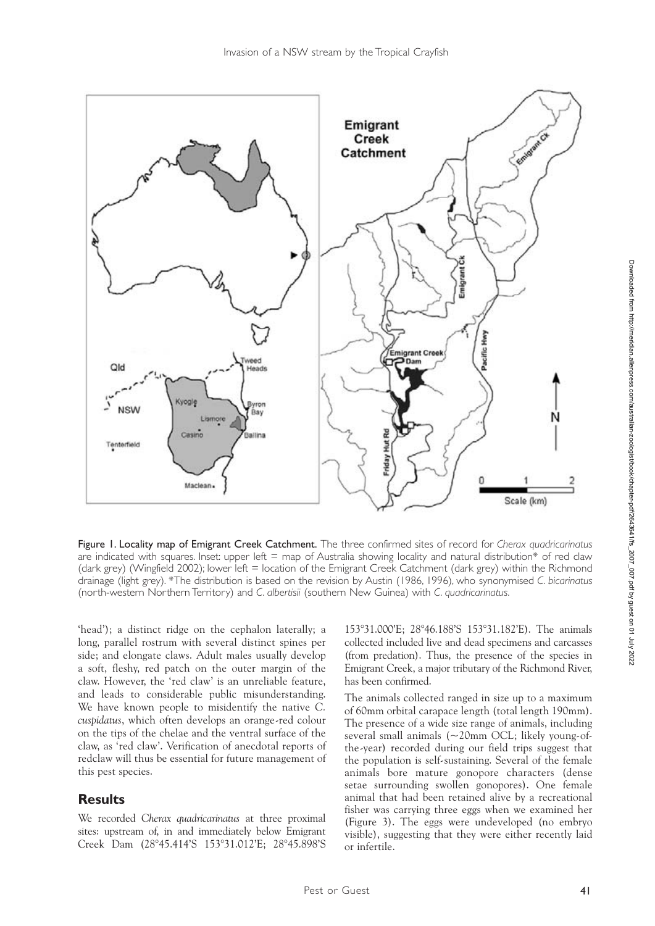

Figure 1. Locality map of Emigrant Creek Catchment. The three confirmed sites of record for *Cherax quadricarinatus* are indicated with squares. Inset: upper left  $=$  map of Australia showing locality and natural distribution\* of red claw (dark grey) (Wingfield 2002); lower left = location of the Emigrant Creek Catchment (dark grey) within the Richmond drainage (light grey). \*The distribution is based on the revision by Austin (1986, 1996), who synonymised *C. bicarinatus*  (north-western Northern Territory) and *C. albertisii* (southern New Guinea) with *C. quadricarinatus.*

'head'); a distinct ridge on the cephalon laterally; a long, parallel rostrum with several distinct spines per side; and elongate claws. Adult males usually develop a soft, fleshy, red patch on the outer margin of the claw. However, the 'red claw' is an unreliable feature, and leads to considerable public misunderstanding. We have known people to misidentify the native *C. cuspidatus*, which often develops an orange-red colour on the tips of the chelae and the ventral surface of the claw, as 'red claw'. Verification of anecdotal reports of redclaw will thus be essential for future management of this pest species.

# **Results**

We recorded *Cherax quadricarinatus* at three proximal sites: upstream of, in and immediately below Emigrant Creek Dam (28°45.414'S 153°31.012'E; 28°45.898'S

153°31.000'E; 28°46.188'S 153°31.182'E). The animals collected included live and dead specimens and carcasses (from predation). Thus, the presence of the species in Emigrant Creek, a major tributary of the Richmond River, has been confirmed.

The animals collected ranged in size up to a maximum of 60mm orbital carapace length (total length 190mm). The presence of a wide size range of animals, including several small animals (~20mm OCL; likely young-ofthe-year) recorded during our field trips suggest that the population is self-sustaining. Several of the female animals bore mature gonopore characters (dense setae surrounding swollen gonopores). One female animal that had been retained alive by a recreational fisher was carrying three eggs when we examined her (Figure 3). The eggs were undeveloped (no embryo visible), suggesting that they were either recently laid or infertile.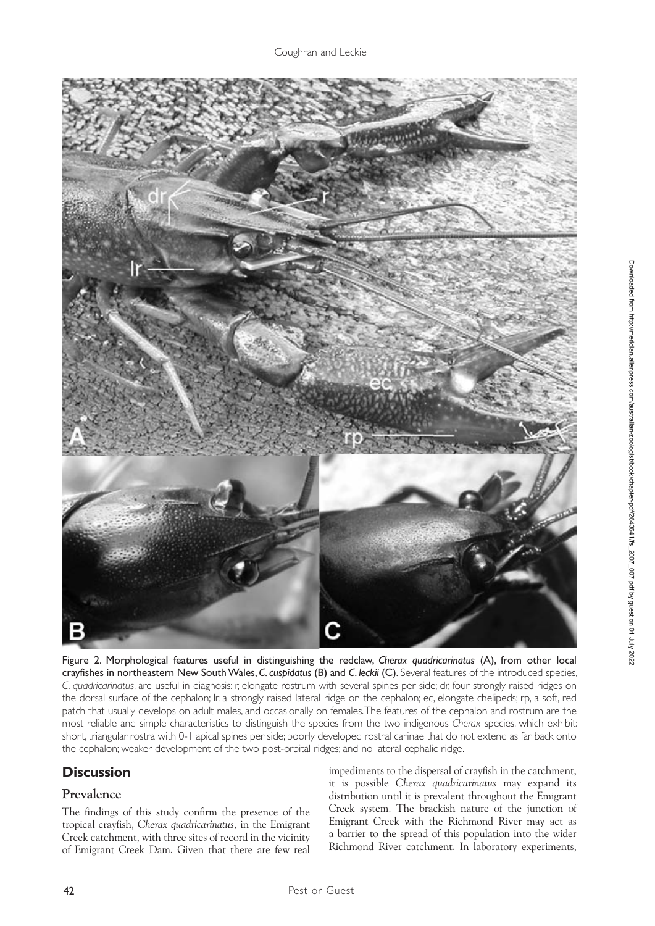

Figure 2. Morphological features useful in distinguishing the redclaw, *Cherax quadricarinatus* (A), from other local crayfishes in northeastern New South Wales, *C. cuspidatus* (B) and *C. leckii* (C). Several features of the introduced species, *C. quadricarinatus*, are useful in diagnosis: r, elongate rostrum with several spines per side; dr, four strongly raised ridges on the dorsal surface of the cephalon; lr, a strongly raised lateral ridge on the cephalon; ec, elongate chelipeds; rp, a soft, red patch that usually develops on adult males, and occasionally on females. The features of the cephalon and rostrum are the most reliable and simple characteristics to distinguish the species from the two indigenous *Cherax* species, which exhibit: short, triangular rostra with 0-1 apical spines per side; poorly developed rostral carinae that do not extend as far back onto the cephalon; weaker development of the two post-orbital ridges; and no lateral cephalic ridge.

# **Discussion**

#### **Prevalence**

The findings of this study confirm the presence of the tropical crayfish, *Cherax quadricarinatus*, in the Emigrant Creek catchment, with three sites of record in the vicinity of Emigrant Creek Dam. Given that there are few real

impediments to the dispersal of crayfish in the catchment, it is possible *Cherax quadricarinatus* may expand its distribution until it is prevalent throughout the Emigrant Creek system. The brackish nature of the junction of Emigrant Creek with the Richmond River may act as a barrier to the spread of this population into the wider Richmond River catchment. In laboratory experiments,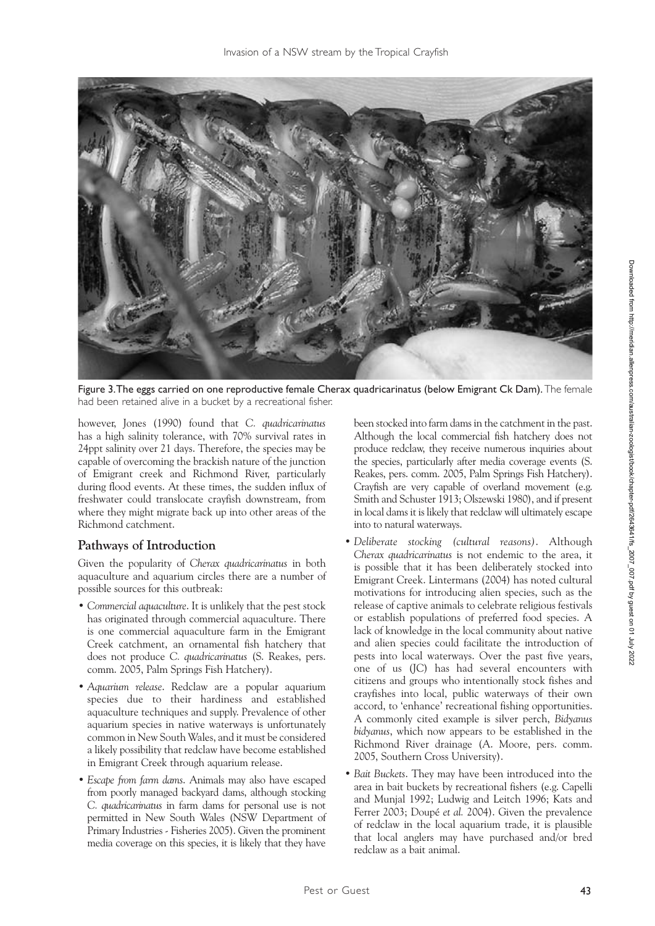

Figure 3. The eggs carried on one reproductive female Cherax quadricarinatus (below Emigrant Ck Dam). The female had been retained alive in a bucket by a recreational fisher.

however, Jones (1990) found that *C. quadricarinatus* has a high salinity tolerance, with 70% survival rates in 24ppt salinity over 21 days. Therefore, the species may be capable of overcoming the brackish nature of the junction of Emigrant creek and Richmond River, particularly during flood events. At these times, the sudden influx of freshwater could translocate crayfish downstream, from where they might migrate back up into other areas of the Richmond catchment.

#### **Pathways of Introduction**

Given the popularity of *Cherax quadricarinatus* in both aquaculture and aquarium circles there are a number of possible sources for this outbreak:

- *Commercial aquaculture*. It is unlikely that the pest stock has originated through commercial aquaculture. There is one commercial aquaculture farm in the Emigrant Creek catchment, an ornamental fish hatchery that does not produce *C. quadricarinatus* (S. Reakes, pers. comm. 2005, Palm Springs Fish Hatchery).
- *Aquarium release*. Redclaw are a popular aquarium species due to their hardiness and established aquaculture techniques and supply. Prevalence of other aquarium species in native waterways is unfortunately common in New South Wales, and it must be considered a likely possibility that redclaw have become established in Emigrant Creek through aquarium release.
- *Escape from farm dams*. Animals may also have escaped from poorly managed backyard dams, although stocking *C. quadricarinatus* in farm dams for personal use is not permitted in New South Wales (NSW Department of Primary Industries - Fisheries 2005). Given the prominent media coverage on this species, it is likely that they have

been stocked into farm dams in the catchment in the past. Although the local commercial fish hatchery does not produce redclaw, they receive numerous inquiries about the species, particularly after media coverage events (S. Reakes, pers. comm. 2005, Palm Springs Fish Hatchery). Crayfish are very capable of overland movement (e.g. Smith and Schuster 1913; Olszewski 1980), and if present in local dams it is likely that redclaw will ultimately escape into to natural waterways.

- *Deliberate stocking (cultural reasons)*. Although *Cherax quadricarinatus* is not endemic to the area, it is possible that it has been deliberately stocked into Emigrant Creek. Lintermans (2004) has noted cultural motivations for introducing alien species, such as the release of captive animals to celebrate religious festivals or establish populations of preferred food species. A lack of knowledge in the local community about native and alien species could facilitate the introduction of pests into local waterways. Over the past five years, one of us (JC) has had several encounters with citizens and groups who intentionally stock fishes and crayfishes into local, public waterways of their own accord, to 'enhance' recreational fishing opportunities. A commonly cited example is silver perch, *Bidyanus bidyanus*, which now appears to be established in the Richmond River drainage (A. Moore, pers. comm. 2005, Southern Cross University).
- *Bait Buckets*. They may have been introduced into the area in bait buckets by recreational fishers (e.g. Capelli and Munjal 1992; Ludwig and Leitch 1996; Kats and Ferrer 2003; Doupé *et al.* 2004). Given the prevalence of redclaw in the local aquarium trade, it is plausible that local anglers may have purchased and/or bred redclaw as a bait animal.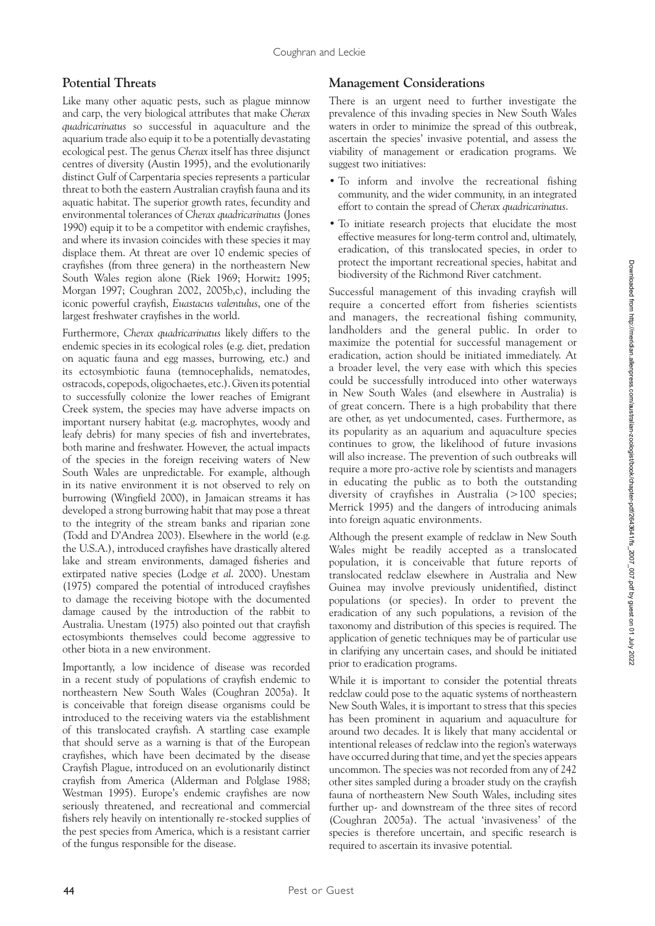#### **Potential Threats**

Like many other aquatic pests, such as plague minnow and carp, the very biological attributes that make *Cherax quadricarinatus* so successful in aquaculture and the aquarium trade also equip it to be a potentially devastating ecological pest. The genus *Cherax* itself has three disjunct centres of diversity (Austin 1995), and the evolutionarily distinct Gulf of Carpentaria species represents a particular threat to both the eastern Australian crayfish fauna and its aquatic habitat. The superior growth rates, fecundity and environmental tolerances of *Cherax quadricarinatus* (Jones 1990) equip it to be a competitor with endemic crayfishes, and where its invasion coincides with these species it may displace them. At threat are over 10 endemic species of crayfishes (from three genera) in the northeastern New South Wales region alone (Riek 1969; Horwitz 1995; Morgan 1997; Coughran 2002, 2005b,c), including the iconic powerful crayfish, *Euastacus valentulus*, one of the largest freshwater crayfishes in the world.

Furthermore, *Cherax quadricarinatus* likely differs to the endemic species in its ecological roles (e.g. diet, predation on aquatic fauna and egg masses, burrowing, etc.) and its ectosymbiotic fauna (temnocephalids, nematodes, ostracods, copepods, oligochaetes, etc.). Given its potential to successfully colonize the lower reaches of Emigrant Creek system, the species may have adverse impacts on important nursery habitat (e.g. macrophytes, woody and leafy debris) for many species of fish and invertebrates, both marine and freshwater. However, the actual impacts of the species in the foreign receiving waters of New South Wales are unpredictable. For example, although in its native environment it is not observed to rely on burrowing (Wingfield 2000), in Jamaican streams it has developed a strong burrowing habit that may pose a threat to the integrity of the stream banks and riparian zone (Todd and D'Andrea 2003). Elsewhere in the world (e.g. the U.S.A.), introduced crayfishes have drastically altered lake and stream environments, damaged fisheries and extirpated native species (Lodge *et al*. 2000). Unestam (1975) compared the potential of introduced crayfishes to damage the receiving biotope with the documented damage caused by the introduction of the rabbit to Australia. Unestam (1975) also pointed out that crayfish ectosymbionts themselves could become aggressive to other biota in a new environment.

Importantly, a low incidence of disease was recorded in a recent study of populations of crayfish endemic to northeastern New South Wales (Coughran 2005a). It is conceivable that foreign disease organisms could be introduced to the receiving waters via the establishment of this translocated crayfish. A startling case example that should serve as a warning is that of the European crayfishes, which have been decimated by the disease Crayfish Plague, introduced on an evolutionarily distinct crayfish from America (Alderman and Polglase 1988; Westman 1995). Europe's endemic crayfishes are now seriously threatened, and recreational and commercial fishers rely heavily on intentionally re-stocked supplies of the pest species from America, which is a resistant carrier of the fungus responsible for the disease.

#### **Management Considerations**

There is an urgent need to further investigate the prevalence of this invading species in New South Wales waters in order to minimize the spread of this outbreak, ascertain the species' invasive potential, and assess the viability of management or eradication programs. We suggest two initiatives:

- To inform and involve the recreational fishing community, and the wider community, in an integrated effort to contain the spread of *Cherax quadricarinatus*.
- To initiate research projects that elucidate the most effective measures for long-term control and, ultimately, eradication, of this translocated species, in order to protect the important recreational species, habitat and biodiversity of the Richmond River catchment.

Successful management of this invading crayfish will require a concerted effort from fisheries scientists and managers, the recreational fishing community, landholders and the general public. In order to maximize the potential for successful management or eradication, action should be initiated immediately. At a broader level, the very ease with which this species could be successfully introduced into other waterways in New South Wales (and elsewhere in Australia) is of great concern. There is a high probability that there are other, as yet undocumented, cases. Furthermore, as its popularity as an aquarium and aquaculture species continues to grow, the likelihood of future invasions will also increase. The prevention of such outbreaks will require a more pro-active role by scientists and managers in educating the public as to both the outstanding diversity of crayfishes in Australia (>100 species; Merrick 1995) and the dangers of introducing animals into foreign aquatic environments.

Although the present example of redclaw in New South Wales might be readily accepted as a translocated population, it is conceivable that future reports of translocated redclaw elsewhere in Australia and New Guinea may involve previously unidentified, distinct populations (or species). In order to prevent the eradication of any such populations, a revision of the taxonomy and distribution of this species is required. The application of genetic techniques may be of particular use in clarifying any uncertain cases, and should be initiated prior to eradication programs.

While it is important to consider the potential threats redclaw could pose to the aquatic systems of northeastern New South Wales, it is important to stress that this species has been prominent in aquarium and aquaculture for around two decades. It is likely that many accidental or intentional releases of redclaw into the region's waterways have occurred during that time, and yet the species appears uncommon. The species was not recorded from any of 242 other sites sampled during a broader study on the crayfish fauna of northeastern New South Wales, including sites further up- and downstream of the three sites of record (Coughran 2005a). The actual 'invasiveness' of the species is therefore uncertain, and specific research is required to ascertain its invasive potential.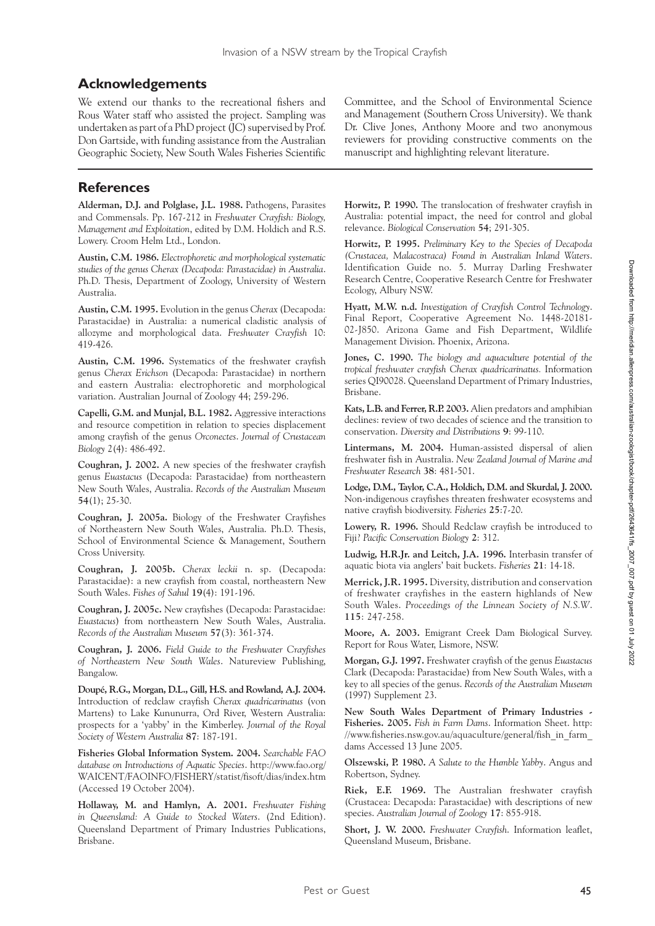# **Acknowledgements**

We extend our thanks to the recreational fishers and Rous Water staff who assisted the project. Sampling was undertaken as part of a PhD project (JC) supervised by Prof. Don Gartside, with funding assistance from the Australian Geographic Society, New South Wales Fisheries Scientific

# **References**

**Alderman, D.J. and Polglase, J.L. 1988.** Pathogens, Parasites and Commensals. Pp. 167-212 in *Freshwater Crayfish: Biology, Management and Exploitation*, edited by D.M. Holdich and R.S. Lowery. Croom Helm Ltd., London.

**Austin, C.M. 1986.** *Electrophoretic and morphological systematic studies of the genus Cherax (Decapoda: Parastacidae) in Australia*. Ph.D. Thesis, Department of Zoology, University of Western Australia.

**Austin, C.M. 1995.** Evolution in the genus *Cherax* (Decapoda: Parastacidae) in Australia: a numerical cladistic analysis of allozyme and morphological data. *Freshwater Crayfish* 10: 419-426.

**Austin, C.M. 1996.** Systematics of the freshwater crayfish genus *Cherax Erichson* (Decapoda: Parastacidae) in northern and eastern Australia: electrophoretic and morphological variation. Australian Journal of Zoology 44; 259-296.

**Capelli, G.M. and Munjal, B.L. 1982.** Aggressive interactions and resource competition in relation to species displacement among crayfish of the genus *Orconectes*. *Journal of Crustacean Biology* 2(4): 486-492.

**Coughran, J. 2002.** A new species of the freshwater crayfish genus *Euastacus* (Decapoda: Parastacidae) from northeastern New South Wales, Australia. *Records of the Australian Museum* **54**(1); 25-30.

**Coughran, J. 2005a.** Biology of the Freshwater Crayfishes of Northeastern New South Wales, Australia. Ph.D. Thesis, School of Environmental Science & Management, Southern Cross University.

**Coughran, J. 2005b.** *Cherax leckii* n. sp. (Decapoda: Parastacidae): a new crayfish from coastal, northeastern New South Wales. *Fishes of Sahul* **19**(4): 191-196.

**Coughran, J. 2005c.** New crayfishes (Decapoda: Parastacidae: *Euastacus*) from northeastern New South Wales, Australia. *Records of the Australian Museum* **57**(3): 361-374.

**Coughran, J. 2006.** *Field Guide to the Freshwater Crayfishes of Northeastern New South Wales*. Natureview Publishing, Bangalow.

**Doupé, R.G., Morgan, D.L., Gill, H.S. and Rowland, A.J. 2004.** Introduction of redclaw crayfish *Cherax quadricarinatus* (von Martens) to Lake Kununurra, Ord River, Western Australia: prospects for a 'yabby' in the Kimberley. *Journal of the Royal Society of Western Australia* **87**: 187-191.

**Fisheries Global Information System. 2004.** *Searchable FAO database on Introductions of Aquatic Species*. http://www.fao.org/ WAICENT/FAOINFO/FISHERY/statist/fisoft/dias/index.htm (Accessed 19 October 2004).

**Hollaway, M. and Hamlyn, A. 2001.** *Freshwater Fishing in Queensland: A Guide to Stocked Waters*. (2nd Edition). Queensland Department of Primary Industries Publications, Brisbane.

Committee, and the School of Environmental Science and Management (Southern Cross University). We thank Dr. Clive Jones, Anthony Moore and two anonymous reviewers for providing constructive comments on the manuscript and highlighting relevant literature.

**Horwitz, P. 1990.** The translocation of freshwater crayfish in Australia: potential impact, the need for control and global relevance. *Biological Conservation* **54**; 291-305.

**Horwitz, P. 1995.** *Preliminary Key to the Species of Decapoda (Crustacea, Malacostraca) Found in Australian Inland Waters*. Identification Guide no. 5. Murray Darling Freshwater Research Centre, Cooperative Research Centre for Freshwater Ecology, Albury NSW.

**Hyatt, M.W. n.d.** *Investigation of Crayfish Control Technology*. Final Report, Cooperative Agreement No. 1448-20181- 02-J850. Arizona Game and Fish Department, Wildlife Management Division. Phoenix, Arizona.

**Jones, C. 1990.** *The biology and aquaculture potential of the tropical freshwater crayfish Cherax quadricarinatus.* Information series QI90028. Queensland Department of Primary Industries, Brisbane.

**Kats, L.B. and Ferrer, R.P. 2003.** Alien predators and amphibian declines: review of two decades of science and the transition to conservation. *Diversity and Distributions* **9**: 99-110.

**Lintermans, M. 2004.** Human-assisted dispersal of alien freshwater fish in Australia. *New Zealand Journal of Marine and Freshwater Research* **38**: 481-501.

**Lodge, D.M., Taylor, C.A., Holdich, D.M. and Skurdal, J. 2000.** Non-indigenous crayfishes threaten freshwater ecosystems and native crayfish biodiversity. *Fisheries* **25**:7-20.

**Lowery, R. 1996.** Should Redclaw crayfish be introduced to Fiji? *Pacific Conservation Biology* **2**: 312.

**Ludwig, H.R.Jr. and Leitch, J.A. 1996.** Interbasin transfer of aquatic biota via anglers' bait buckets. *Fisheries* **21**: 14-18.

**Merrick, J.R. 1995.** Diversity, distribution and conservation of freshwater crayfishes in the eastern highlands of New South Wales. *Proceedings of the Linnean Society of N.S.W*. **115**: 247-258.

**Moore, A. 2003.** Emigrant Creek Dam Biological Survey. Report for Rous Water, Lismore, NSW.

**Morgan, G.J. 1997.** Freshwater crayfish of the genus *Euastacus* Clark (Decapoda: Parastacidae) from New South Wales, with a key to all species of the genus. *Records of the Australian Museum*  (1997) Supplement 23.

**New South Wales Department of Primary Industries - Fisheries. 2005.** *Fish in Farm Dams*. Information Sheet. http: //www.fisheries.nsw.gov.au/aquaculture/general/fish\_in\_farm\_ dams Accessed 13 June 2005.

**Olszewski, P. 1980.** *A Salute to the Humble Yabby*. Angus and Robertson, Sydney.

**Riek, E.F. 1969.** The Australian freshwater crayfish (Crustacea: Decapoda: Parastacidae) with descriptions of new species. *Australian Journal of Zoology* **17**: 855-918.

**Short, J. W. 2000.** *Freshwater Crayfish*. Information leaflet, Queensland Museum, Brisbane.